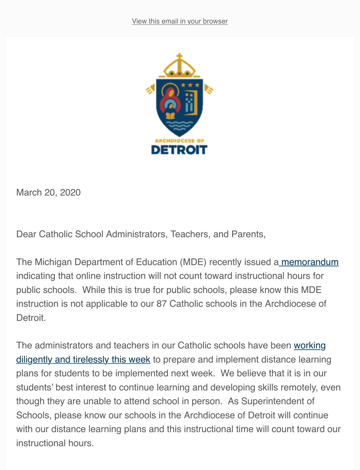

March 20, 2020

Dear Catholic School Administrators, Teachers, and Parents,

The Michigan Department of Education (MDE) recently issued a memorandum indicating that online instruction will not count toward instruction[al hours for](https://www.michigan.gov/documents/mde/Guidance_Instructional_Time_684374_7.pdf) public schools. While this is true for public schools, please know this MDE instruction is not applicable to our 87 Catholic schools in the Archdiocese of Detroit.

The administrators and teachers in our Catholic schools have been working [diligently and tirelessly this week to prepare and implement distance learnin](https://aod.app.box.com/file/633309263268)g plans for students to be implemented next week. We believe that it is in our students' best interest to continue learning and developing skills remotely, even though they are unable to attend school in person. As Superintendent of Schools, please know our schools in the Archdiocese of Detroit will continue with our distance learning plans and this instructional time will count toward our instructional hours.